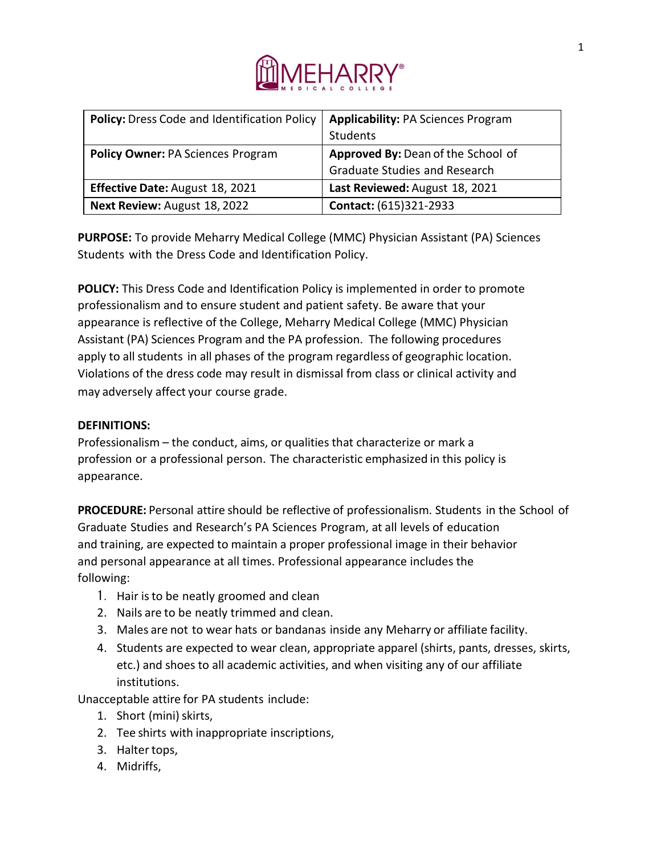

| <b>Policy:</b> Dress Code and Identification Policy | <b>Applicability: PA Sciences Program</b> |
|-----------------------------------------------------|-------------------------------------------|
|                                                     | Students                                  |
| <b>Policy Owner: PA Sciences Program</b>            | Approved By: Dean of the School of        |
|                                                     | <b>Graduate Studies and Research</b>      |
| <b>Effective Date: August 18, 2021</b>              | Last Reviewed: August 18, 2021            |
| Next Review: August 18, 2022                        | Contact: (615)321-2933                    |

**PURPOSE:** To provide Meharry Medical College (MMC) Physician Assistant (PA) Sciences Students with the Dress Code and Identification Policy.

**POLICY:** This Dress Code and Identification Policy is implemented in order to promote professionalism and to ensure student and patient safety. Be aware that your appearance is reflective of the College, Meharry Medical College (MMC) Physician Assistant (PA) Sciences Program and the PA profession. The following procedures apply to all students in all phases of the program regardless of geographic location. Violations of the dress code may result in dismissal from class or clinical activity and may adversely affect your course grade.

## **DEFINITIONS:**

Professionalism – the conduct, aims, or qualities that characterize or mark a profession or a professional person. The characteristic emphasized in this policy is appearance.

**PROCEDURE:** Personal attire should be reflective of professionalism. Students in the School of Graduate Studies and Research's PA Sciences Program, at all levels of education and training, are expected to maintain a proper professional image in their behavior and personal appearance at all times. Professional appearance includes the following:

- 1. Hair isto be neatly groomed and clean
- 2. Nails are to be neatly trimmed and clean.
- 3. Males are not to wear hats or bandanas inside any Meharry or affiliate facility.
- 4. Students are expected to wear clean, appropriate apparel (shirts, pants, dresses, skirts, etc.) and shoes to all academic activities, and when visiting any of our affiliate institutions.

Unacceptable attire for PA students include:

- 1. Short (mini) skirts,
- 2. Tee shirts with inappropriate inscriptions,
- 3. Haltertops,
- 4. Midriffs,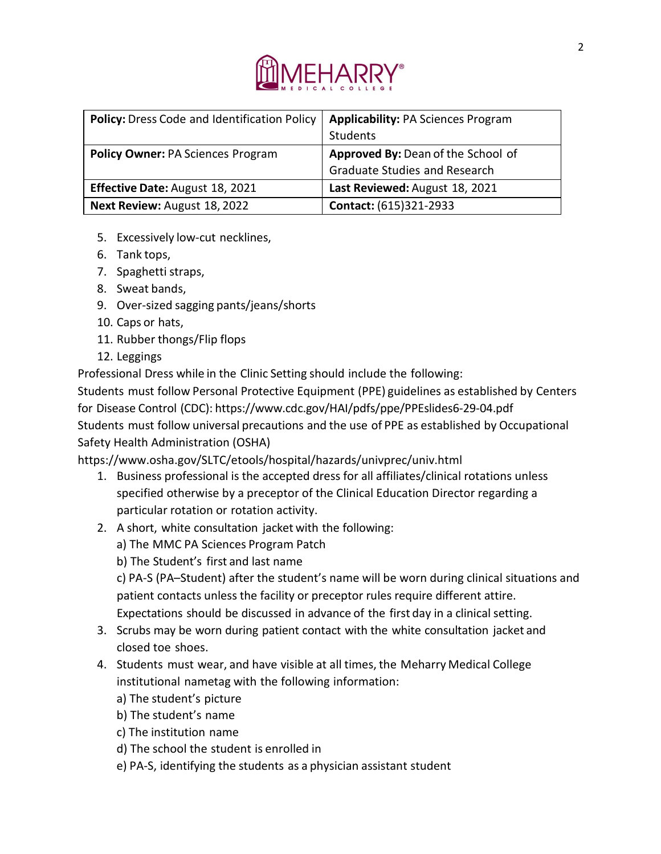

| <b>Policy:</b> Dress Code and Identification Policy | <b>Applicability: PA Sciences Program</b> |
|-----------------------------------------------------|-------------------------------------------|
|                                                     | Students                                  |
| <b>Policy Owner: PA Sciences Program</b>            | Approved By: Dean of the School of        |
|                                                     | <b>Graduate Studies and Research</b>      |
| <b>Effective Date: August 18, 2021</b>              | Last Reviewed: August 18, 2021            |
| Next Review: August 18, 2022                        | Contact: (615)321-2933                    |

- 5. Excessively low-cut necklines,
- 6. Tank tops,
- 7. Spaghetti straps,
- 8. Sweat bands,
- 9. Over-sized sagging pants/jeans/shorts
- 10. Caps or hats,
- 11. Rubber thongs/Flip flops
- 12. Leggings

Professional Dress while in the Clinic Setting should include the following:

Students must follow Personal Protective Equipment (PPE) guidelines as established by Centers for Disease Control (CDC): https:/[/www.cdc.gov/HAI/pdfs/ppe/PPEslides6-29-04.pdf](http://www.cdc.gov/HAI/pdfs/ppe/PPEslides6-29-04.pdf) Students must follow universal precautions and the use of PPE as established by Occupational Safety Health Administration (OSHA)

https:/[/www.osha.gov/SLTC/etools/hospital/hazards/univprec/univ.html](http://www.osha.gov/SLTC/etools/hospital/hazards/univprec/univ.html)

- 1. Business professional is the accepted dress for all affiliates/clinical rotations unless specified otherwise by a preceptor of the Clinical Education Director regarding a particular rotation or rotation activity.
- 2. A short, white consultation jacket with the following:
	- a) The MMC PA Sciences Program Patch
	- b) The Student's first and last name

c) PA-S (PA–Student) after the student's name will be worn during clinical situations and patient contacts unless the facility or preceptor rules require different attire. Expectations should be discussed in advance of the first day in a clinical setting.

- 3. Scrubs may be worn during patient contact with the white consultation jacket and closed toe shoes.
- 4. Students must wear, and have visible at all times, the Meharry Medical College institutional nametag with the following information:
	- a) The student's picture
	- b) The student's name
	- c) The institution name
	- d) The school the student is enrolled in
	- e) PA-S, identifying the students as a physician assistant student